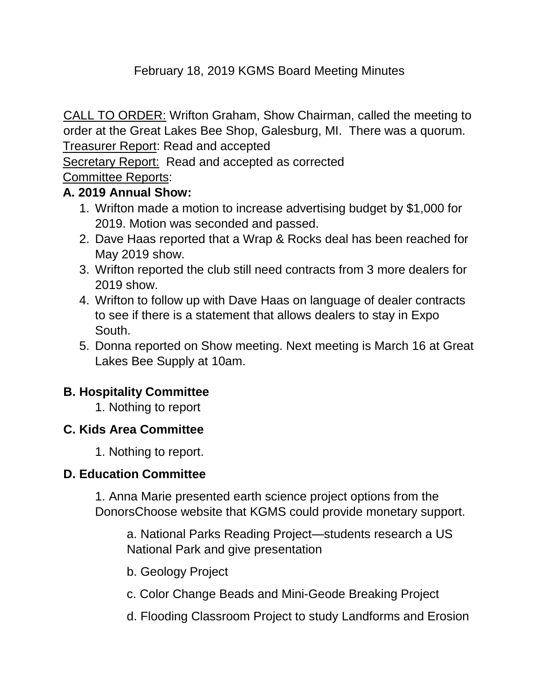# February 18, 2019 KGMS Board Meeting Minutes

CALL TO ORDER: Wrifton Graham, Show Chairman, called the meeting to order at the Great Lakes Bee Shop, Galesburg, MI. There was a quorum. Treasurer Report: Read and accepted

Secretary Report: Read and accepted as corrected

## Committee Reports:

### **A. 2019 Annual Show:**

- 1. Wrifton made a motion to increase advertising budget by \$1,000 for 2019. Motion was seconded and passed.
- 2. Dave Haas reported that a Wrap & Rocks deal has been reached for May 2019 show.
- 3. Wrifton reported the club still need contracts from 3 more dealers for 2019 show.
- 4. Wrifton to follow up with Dave Haas on language of dealer contracts to see if there is a statement that allows dealers to stay in Expo South.
- 5. Donna reported on Show meeting. Next meeting is March 16 at Great Lakes Bee Supply at 10am.

### **B. Hospitality Committee**

1. Nothing to report

### **C. Kids Area Committee**

1. Nothing to report.

### **D. Education Committee**

1. Anna Marie presented earth science project options from the DonorsChoose website that KGMS could provide monetary support.

a. National Parks Reading Project—students research a US National Park and give presentation

- b. Geology Project
- c. Color Change Beads and Mini-Geode Breaking Project
- d. Flooding Classroom Project to study Landforms and Erosion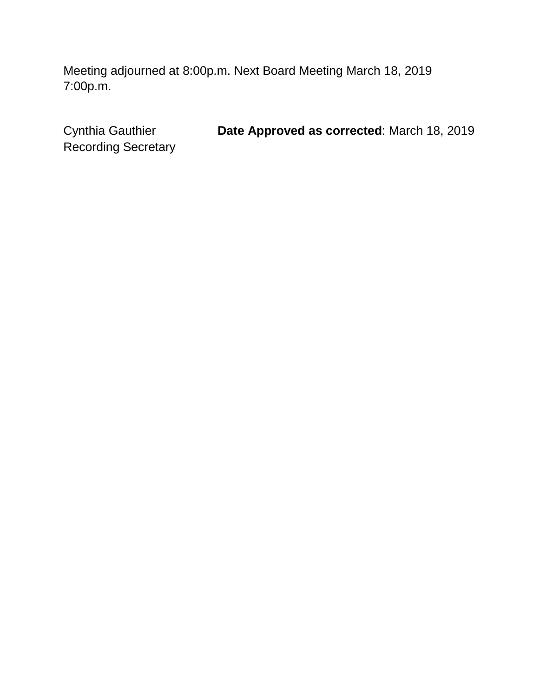Meeting adjourned at 8:00p.m. Next Board Meeting March 18, 2019 7:00p.m.

Recording Secretary

Cynthia Gauthier **Date Approved as corrected**: March 18, 2019